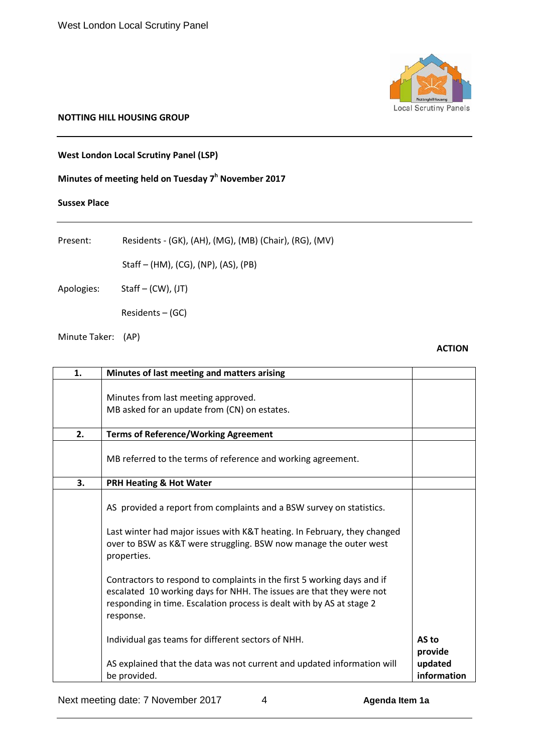#### **NOTTING HILL HOUSING GROUP**

**West London Local Scrutiny Panel (LSP)**

# **Minutes of meeting held on Tuesday 7h November 2017**

### **Sussex Place**

Present: Residents - (GK), (AH), (MG), (MB) (Chair), (RG), (MV)

Staff – (HM), (CG), (NP), (AS), (PB)

Apologies: Staff – (CW), (JT)

Residents – (GC)

Minute Taker: (AP)

#### **ACTION**

| 1. | Minutes of last meeting and matters arising                                                                                                                                                                                                                                                                                                                                                                                                                      |                                   |
|----|------------------------------------------------------------------------------------------------------------------------------------------------------------------------------------------------------------------------------------------------------------------------------------------------------------------------------------------------------------------------------------------------------------------------------------------------------------------|-----------------------------------|
|    | Minutes from last meeting approved.<br>MB asked for an update from (CN) on estates.                                                                                                                                                                                                                                                                                                                                                                              |                                   |
| 2. | <b>Terms of Reference/Working Agreement</b>                                                                                                                                                                                                                                                                                                                                                                                                                      |                                   |
|    | MB referred to the terms of reference and working agreement.                                                                                                                                                                                                                                                                                                                                                                                                     |                                   |
| 3. | <b>PRH Heating &amp; Hot Water</b>                                                                                                                                                                                                                                                                                                                                                                                                                               |                                   |
|    | AS provided a report from complaints and a BSW survey on statistics.<br>Last winter had major issues with K&T heating. In February, they changed<br>over to BSW as K&T were struggling. BSW now manage the outer west<br>properties.<br>Contractors to respond to complaints in the first 5 working days and if<br>escalated 10 working days for NHH. The issues are that they were not<br>responding in time. Escalation process is dealt with by AS at stage 2 |                                   |
|    | response.<br>Individual gas teams for different sectors of NHH.                                                                                                                                                                                                                                                                                                                                                                                                  | AS to                             |
|    | AS explained that the data was not current and updated information will<br>be provided.                                                                                                                                                                                                                                                                                                                                                                          | provide<br>updated<br>information |

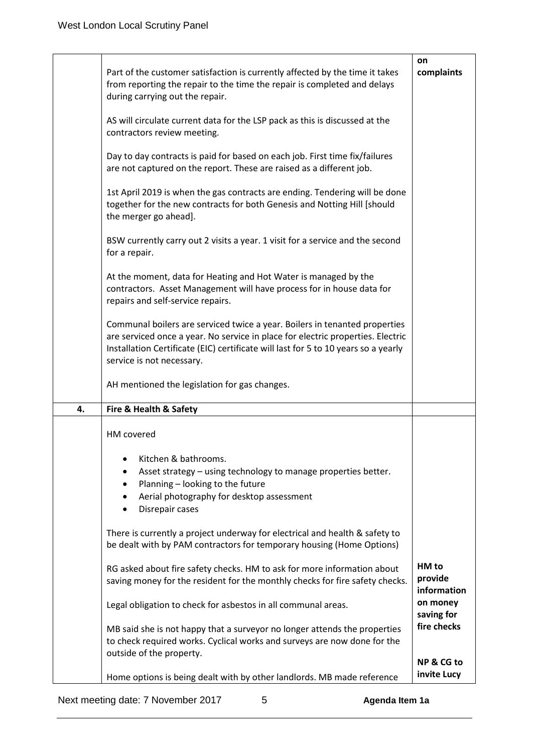|    | Part of the customer satisfaction is currently affected by the time it takes<br>from reporting the repair to the time the repair is completed and delays<br>during carrying out the repair.                                                                                      | on<br>complaints                |
|----|----------------------------------------------------------------------------------------------------------------------------------------------------------------------------------------------------------------------------------------------------------------------------------|---------------------------------|
|    | AS will circulate current data for the LSP pack as this is discussed at the<br>contractors review meeting.                                                                                                                                                                       |                                 |
|    | Day to day contracts is paid for based on each job. First time fix/failures<br>are not captured on the report. These are raised as a different job.                                                                                                                              |                                 |
|    | 1st April 2019 is when the gas contracts are ending. Tendering will be done<br>together for the new contracts for both Genesis and Notting Hill [should<br>the merger go ahead].                                                                                                 |                                 |
|    | BSW currently carry out 2 visits a year. 1 visit for a service and the second<br>for a repair.                                                                                                                                                                                   |                                 |
|    | At the moment, data for Heating and Hot Water is managed by the<br>contractors. Asset Management will have process for in house data for<br>repairs and self-service repairs.                                                                                                    |                                 |
|    | Communal boilers are serviced twice a year. Boilers in tenanted properties<br>are serviced once a year. No service in place for electric properties. Electric<br>Installation Certificate (EIC) certificate will last for 5 to 10 years so a yearly<br>service is not necessary. |                                 |
|    | AH mentioned the legislation for gas changes.                                                                                                                                                                                                                                    |                                 |
| 4. | Fire & Health & Safety                                                                                                                                                                                                                                                           |                                 |
|    | HM covered                                                                                                                                                                                                                                                                       |                                 |
|    | Kitchen & bathrooms.<br>Asset strategy - using technology to manage properties better.<br>Planning - looking to the future<br>Aerial photography for desktop assessment<br>Disrepair cases                                                                                       |                                 |
|    | There is currently a project underway for electrical and health & safety to<br>be dealt with by PAM contractors for temporary housing (Home Options)                                                                                                                             |                                 |
|    | RG asked about fire safety checks. HM to ask for more information about<br>saving money for the resident for the monthly checks for fire safety checks.                                                                                                                          | HM to<br>provide<br>information |
|    | Legal obligation to check for asbestos in all communal areas.                                                                                                                                                                                                                    | on money<br>saving for          |
|    | MB said she is not happy that a surveyor no longer attends the properties<br>to check required works. Cyclical works and surveys are now done for the<br>outside of the property.                                                                                                | fire checks                     |
|    | Home options is being dealt with by other landlords. MB made reference                                                                                                                                                                                                           | NP & CG to<br>invite Lucy       |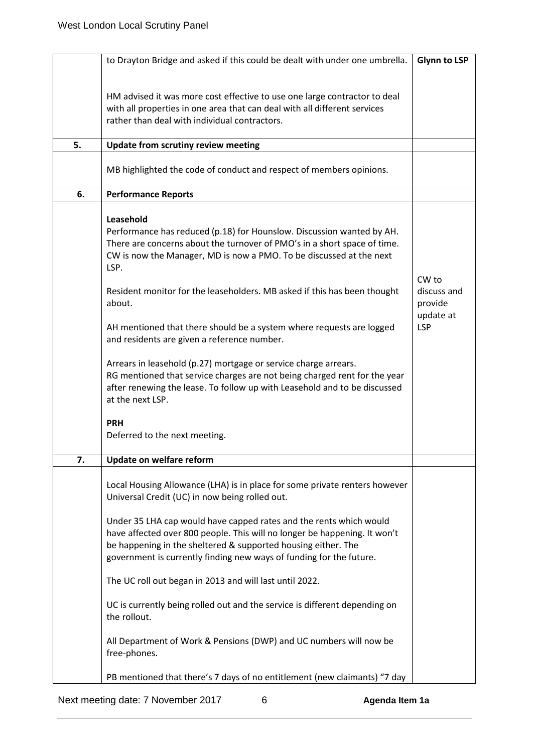|    | to Drayton Bridge and asked if this could be dealt with under one umbrella.                                                                                                                                                                                                                                                                                                                                                                                                                                                                                                                                                                                                                                                                                | <b>Glynn to LSP</b>                                        |
|----|------------------------------------------------------------------------------------------------------------------------------------------------------------------------------------------------------------------------------------------------------------------------------------------------------------------------------------------------------------------------------------------------------------------------------------------------------------------------------------------------------------------------------------------------------------------------------------------------------------------------------------------------------------------------------------------------------------------------------------------------------------|------------------------------------------------------------|
|    | HM advised it was more cost effective to use one large contractor to deal<br>with all properties in one area that can deal with all different services<br>rather than deal with individual contractors.                                                                                                                                                                                                                                                                                                                                                                                                                                                                                                                                                    |                                                            |
| 5. | Update from scrutiny review meeting                                                                                                                                                                                                                                                                                                                                                                                                                                                                                                                                                                                                                                                                                                                        |                                                            |
|    | MB highlighted the code of conduct and respect of members opinions.                                                                                                                                                                                                                                                                                                                                                                                                                                                                                                                                                                                                                                                                                        |                                                            |
| 6. | <b>Performance Reports</b>                                                                                                                                                                                                                                                                                                                                                                                                                                                                                                                                                                                                                                                                                                                                 |                                                            |
|    | Leasehold<br>Performance has reduced (p.18) for Hounslow. Discussion wanted by AH.<br>There are concerns about the turnover of PMO's in a short space of time.<br>CW is now the Manager, MD is now a PMO. To be discussed at the next<br>LSP.<br>Resident monitor for the leaseholders. MB asked if this has been thought<br>about.<br>AH mentioned that there should be a system where requests are logged<br>and residents are given a reference number.<br>Arrears in leasehold (p.27) mortgage or service charge arrears.<br>RG mentioned that service charges are not being charged rent for the year<br>after renewing the lease. To follow up with Leasehold and to be discussed<br>at the next LSP.<br><b>PRH</b><br>Deferred to the next meeting. | CW to<br>discuss and<br>provide<br>update at<br><b>LSP</b> |
| 7. | Update on welfare reform                                                                                                                                                                                                                                                                                                                                                                                                                                                                                                                                                                                                                                                                                                                                   |                                                            |
|    |                                                                                                                                                                                                                                                                                                                                                                                                                                                                                                                                                                                                                                                                                                                                                            |                                                            |
|    | Local Housing Allowance (LHA) is in place for some private renters however<br>Universal Credit (UC) in now being rolled out.<br>Under 35 LHA cap would have capped rates and the rents which would<br>have affected over 800 people. This will no longer be happening. It won't                                                                                                                                                                                                                                                                                                                                                                                                                                                                            |                                                            |
|    | be happening in the sheltered & supported housing either. The<br>government is currently finding new ways of funding for the future.                                                                                                                                                                                                                                                                                                                                                                                                                                                                                                                                                                                                                       |                                                            |
|    | The UC roll out began in 2013 and will last until 2022.<br>UC is currently being rolled out and the service is different depending on<br>the rollout.                                                                                                                                                                                                                                                                                                                                                                                                                                                                                                                                                                                                      |                                                            |
|    | All Department of Work & Pensions (DWP) and UC numbers will now be<br>free-phones.                                                                                                                                                                                                                                                                                                                                                                                                                                                                                                                                                                                                                                                                         |                                                            |
|    | PB mentioned that there's 7 days of no entitlement (new claimants) "7 day                                                                                                                                                                                                                                                                                                                                                                                                                                                                                                                                                                                                                                                                                  |                                                            |

Next meeting date: 7 November 2017 6 **Agenda Item 1a**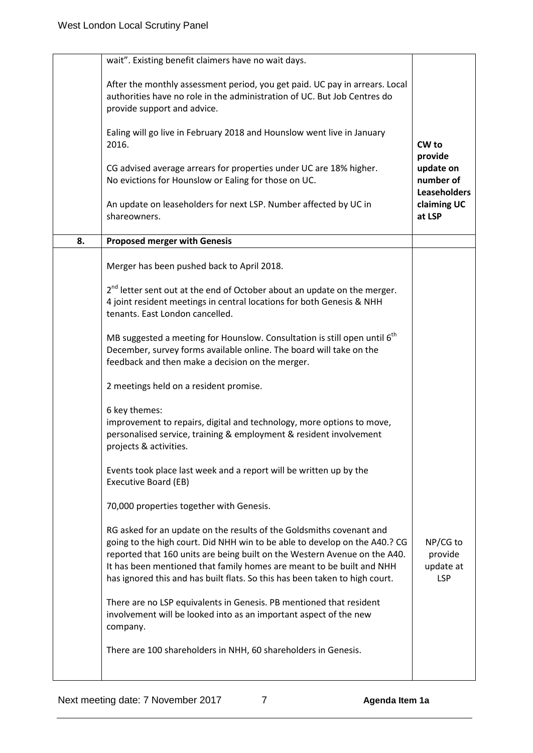|    | wait". Existing benefit claimers have no wait days.                                                                                                                                                                                                                                                                                                                                     |                                                |
|----|-----------------------------------------------------------------------------------------------------------------------------------------------------------------------------------------------------------------------------------------------------------------------------------------------------------------------------------------------------------------------------------------|------------------------------------------------|
|    | After the monthly assessment period, you get paid. UC pay in arrears. Local<br>authorities have no role in the administration of UC. But Job Centres do<br>provide support and advice.                                                                                                                                                                                                  |                                                |
|    | Ealing will go live in February 2018 and Hounslow went live in January<br>2016.                                                                                                                                                                                                                                                                                                         | CW <sub>to</sub><br>provide                    |
|    | CG advised average arrears for properties under UC are 18% higher.<br>No evictions for Hounslow or Ealing for those on UC.                                                                                                                                                                                                                                                              | update on<br>number of<br><b>Leaseholders</b>  |
|    | An update on leaseholders for next LSP. Number affected by UC in<br>shareowners.                                                                                                                                                                                                                                                                                                        | claiming UC<br>at LSP                          |
| 8. | <b>Proposed merger with Genesis</b>                                                                                                                                                                                                                                                                                                                                                     |                                                |
|    | Merger has been pushed back to April 2018.                                                                                                                                                                                                                                                                                                                                              |                                                |
|    | 2 <sup>nd</sup> letter sent out at the end of October about an update on the merger.<br>4 joint resident meetings in central locations for both Genesis & NHH<br>tenants. East London cancelled.                                                                                                                                                                                        |                                                |
|    | MB suggested a meeting for Hounslow. Consultation is still open until 6 <sup>th</sup><br>December, survey forms available online. The board will take on the<br>feedback and then make a decision on the merger.                                                                                                                                                                        |                                                |
|    | 2 meetings held on a resident promise.                                                                                                                                                                                                                                                                                                                                                  |                                                |
|    | 6 key themes:<br>improvement to repairs, digital and technology, more options to move,<br>personalised service, training & employment & resident involvement<br>projects & activities.                                                                                                                                                                                                  |                                                |
|    | Events took place last week and a report will be written up by the<br><b>Executive Board (EB)</b>                                                                                                                                                                                                                                                                                       |                                                |
|    | 70,000 properties together with Genesis.                                                                                                                                                                                                                                                                                                                                                |                                                |
|    | RG asked for an update on the results of the Goldsmiths covenant and<br>going to the high court. Did NHH win to be able to develop on the A40.? CG<br>reported that 160 units are being built on the Western Avenue on the A40.<br>It has been mentioned that family homes are meant to be built and NHH<br>has ignored this and has built flats. So this has been taken to high court. | NP/CG to<br>provide<br>update at<br><b>LSP</b> |
|    | There are no LSP equivalents in Genesis. PB mentioned that resident<br>involvement will be looked into as an important aspect of the new<br>company.                                                                                                                                                                                                                                    |                                                |
|    | There are 100 shareholders in NHH, 60 shareholders in Genesis.                                                                                                                                                                                                                                                                                                                          |                                                |
|    |                                                                                                                                                                                                                                                                                                                                                                                         |                                                |